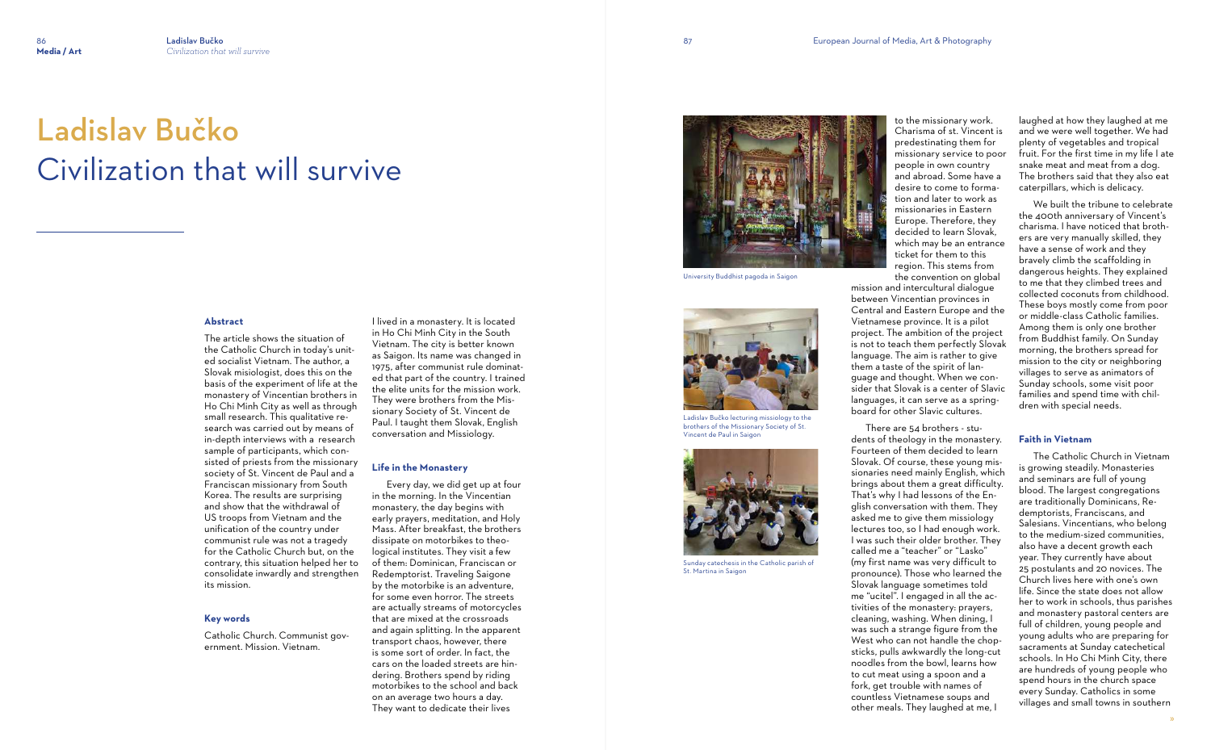# **Abstract**

The article shows the situation of the Catholic Church in today's united socialist Vietnam. The author, a Slovak misiologist, does this on the basis of the experiment of life at the monastery of Vincentian brothers in Ho Chi Minh City as well as through small research. This qualitative research was carried out by means of in-depth interviews with a research sample of participants, which consisted of priests from the missionary society of St. Vincent de Paul and a Franciscan missionary from South Korea. The results are surprising and show that the withdrawal of US troops from Vietnam and the unification of the country under communist rule was not a tragedy for the Catholic Church but, on the contrary, this situation helped her to consolidate inwardly and strengthen its mission.

## **Key words**

Catholic Church. Communist government. Mission. Vietnam.

I lived in a monastery. It is located in Ho Chi Minh City in the South Vietnam. The city is better known as Saigon. Its name was changed in 1975, after communist rule dominated that part of the country. I trained the elite units for the mission work. They were brothers from the Missionary Society of St. Vincent de Paul. I taught them Slovak, English conversation and Missiology.

# **Life in the Monastery**

 Every day, we did get up at four in the morning. In the Vincentian monastery, the day begins with early prayers, meditation, and Holy Mass. After breakfast, the brothers dissipate on motorbikes to theological institutes. They visit a few of them: Dominican, Franciscan or Redemptorist. Traveling Saigone by the motorbike is an adventure, for some even horror. The streets are actually streams of motorcycles that are mixed at the crossroads and again splitting. In the apparent transport chaos, however, there is some sort of order. In fact, the cars on the loaded streets are hindering. Brothers spend by riding motorbikes to the school and back on an average two hours a day. They want to dedicate their lives



# Ladislav Bučko Civilization that will survive

to the missionary work. Charisma of st. Vincent is predestinating them for missionary service to poor people in own country and abroad. Some have a desire to come to formation and later to work as missionaries in Eastern Europe. Therefore, they decided to learn Slovak, which may be an entrance ticket for them to this region. This stems from the convention on global mission and intercultural dialogue between Vincentian provinces in Central and Eastern Europe and the Vietnamese province. It is a pilot project. The ambition of the project is not to teach them perfectly Slovak language. The aim is rather to give them a taste of the spirit of language and thought. When we consider that Slovak is a center of Slavic languages, it can serve as a springboard for other Slavic cultures.

 There are 54 brothers - students of theology in the monastery. Fourteen of them decided to learn Slovak. Of course, these young missionaries need mainly English, which brings about them a great difficulty. That's why I had lessons of the English conversation with them. They asked me to give them missiology lectures too, so I had enough work. I was such their older brother. They called me a "teacher" or "Lasko" (my first name was very difficult to pronounce). Those who learned the Slovak language sometimes told me "ucitel". I engaged in all the activities of the monastery: prayers, cleaning, washing. When dining, I was such a strange figure from the West who can not handle the chopsticks, pulls awkwardly the long-cut noodles from the bowl, learns how to cut meat using a spoon and a fork, get trouble with names of countless Vietnamese soups and other meals. They laughed at me, I

laughed at how they laughed at me and we were well together. We had plenty of vegetables and tropical fruit. For the first time in my life I ate snake meat and meat from a dog. The brothers said that they also eat caterpillars, which is delicacy.

 We built the tribune to celebrate the 400th anniversary of Vincent's charisma. I have noticed that brothers are very manually skilled, they have a sense of work and they bravely climb the scaffolding in dangerous heights. They explained to me that they climbed trees and collected coconuts from childhood. These boys mostly come from poor or middle-class Catholic families. Among them is only one brother from Buddhist family. On Sunday morning, the brothers spread for mission to the city or neighboring villages to serve as animators of Sunday schools, some visit poor families and spend time with children with special needs.

# **Faith in Vietnam**

 The Catholic Church in Vietnam is growing steadily. Monasteries and seminars are full of young blood. The largest congregations are traditionally Dominicans, Redemptorists, Franciscans, and Salesians. Vincentians, who belong to the medium-sized communities, also have a decent growth each year. They currently have about 25 postulants and 20 novices. The Church lives here with one's own life. Since the state does not allow her to work in schools, thus parishes and monastery pastoral centers are full of children, young people and young adults who are preparing for sacraments at Sunday catechetical schools. In Ho Chi Minh City, there are hundreds of young people who spend hours in the church space every Sunday. Catholics in some villages and small towns in southern





Ladislav Bučko lecturing missiology to the brothers of the Missionary Society of St. Vincent de Paul in Saigon



Sunday catechesis in the Catholic parish of St. Martina in Saigon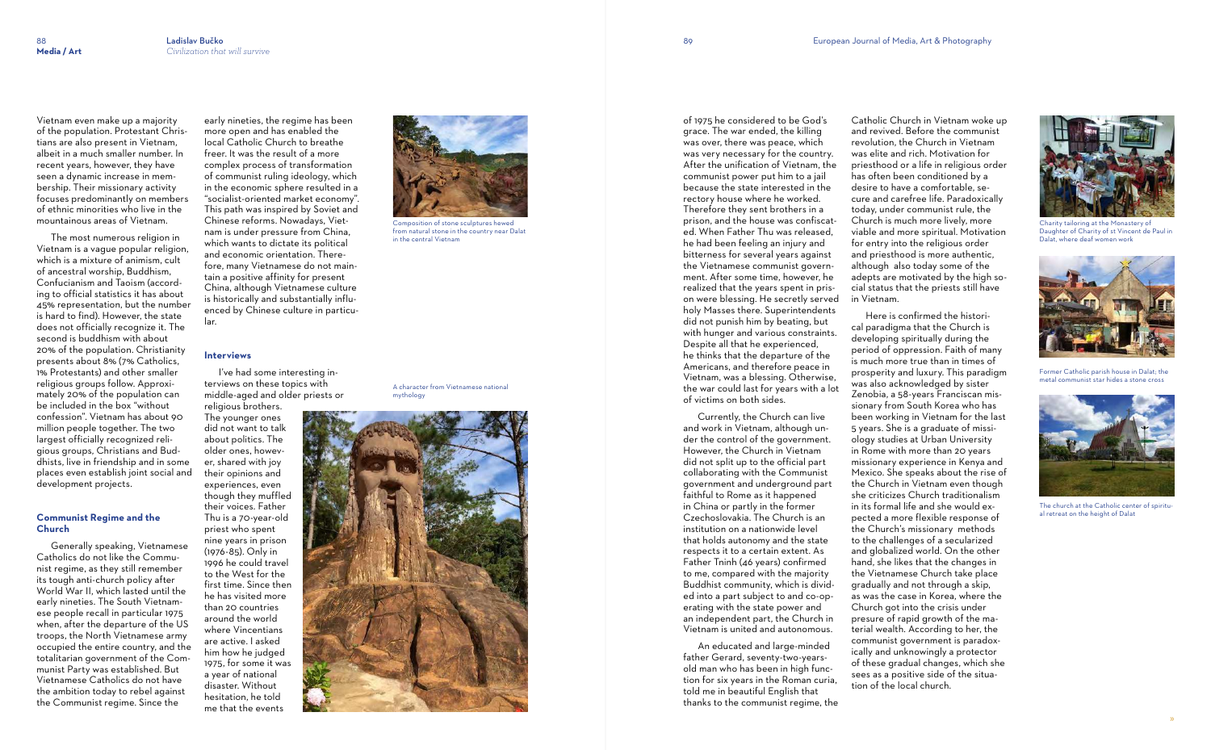Vietnam even make up a majority of the population. Protestant Christians are also present in Vietnam, albeit in a much smaller number. In recent years, however, they have seen a dynamic increase in membership. Their missionary activity focuses predominantly on members of ethnic minorities who live in the mountainous areas of Vietnam.

 The most numerous religion in Vietnam is a vague popular religion, which is a mixture of animism, cult of ancestral worship, Buddhism, Confucianism and Taoism (according to official statistics it has about 45% representation, but the number is hard to find). However, the state does not officially recognize it. The second is buddhism with about 20% of the population. Christianity presents about 8% (7% Catholics, 1% Protestants) and other smaller religious groups follow. Approximately 20% of the population can be included in the box "without confession". Vietnam has about 90 million people together. The two largest officially recognized religious groups, Christians and Buddhists, live in friendship and in some places even establish joint social and development projects.

### **Communist Regime and the Church**

 Generally speaking, Vietnamese Catholics do not like the Communist regime, as they still remember its tough anti-church policy after World War II, which lasted until the early nineties. The South Vietnamese people recall in particular 1975 when, after the departure of the US troops, the North Vietnamese army occupied the entire country, and the totalitarian government of the Communist Party was established. But Vietnamese Catholics do not have the ambition today to rebel against the Communist regime. Since the

early nineties, the regime has been more open and has enabled the local Catholic Church to breathe freer. It was the result of a more complex process of transformation of communist ruling ideology, which in the economic sphere resulted in a "socialist-oriented market economy". This path was inspired by Soviet and Chinese reforms. Nowadays, Vietnam is under pressure from China, which wants to dictate its political and economic orientation. Therefore, many Vietnamese do not maintain a positive affinity for present China, although Vietnamese culture is historically and substantially influenced by Chinese culture in particular.

#### **Interviews**

 I've had some interesting interviews on these topics with middle-aged and older priests or religious brothers.

The younger ones did not want to talk about politics. The older ones, however, shared with joy their opinions and experiences, even though they muffled their voices. Father Thu is a 70-year-old priest who spent nine years in prison (1976-85). Only in 1996 he could travel to the West for the first time. Since then he has visited more than 20 countries around the world where Vincentians are active. I asked him how he judged 1975, for some it was a year of national disaster. Without hesitation, he told me that the events

of 1975 he considered to be God's

grace. The war ended, the killing was over, there was peace, which was very necessary for the country. After the unification of Vietnam, the communist power put him to a jail because the state interested in the rectory house where he worked. Therefore they sent brothers in a prison, and the house was confiscated. When Father Thu was released, he had been feeling an injury and bitterness for several years against the Vietnamese communist government. After some time, however, he realized that the years spent in prison were blessing. He secretly served holy Masses there. Superintendents did not punish him by beating, but with hunger and various constraints. Despite all that he experienced, he thinks that the departure of the Americans, and therefore peace in Vietnam, was a blessing. Otherwise, the war could last for years with a lot

of victims on both sides.

 Currently, the Church can live and work in Vietnam, although under the control of the government. However, the Church in Vietnam did not split up to the official part collaborating with the Communist government and underground part faithful to Rome as it happened in China or partly in the former Czechoslovakia. The Church is an institution on a nationwide level that holds autonomy and the state respects it to a certain extent. As Father Tninh (46 years) confirmed to me, compared with the majority Buddhist community, which is divided into a part subject to and co-operating with the state power and an independent part, the Church in Vietnam is united and autonomous.

 An educated and large-minded father Gerard, seventy-two-yearsold man who has been in high function for six years in the Roman curia, told me in beautiful English that thanks to the communist regime, the

Catholic Church in Vietnam woke up and revived. Before the communist revolution, the Church in Vietnam was elite and rich. Motivation for priesthood or a life in religious order has often been conditioned by a desire to have a comfortable, secure and carefree life. Paradoxically today, under communist rule, the Church is much more lively, more viable and more spiritual. Motivation for entry into the religious order and priesthood is more authentic, although also today some of the adepts are motivated by the high social status that the priests still have in Vietnam.

 Here is confirmed the historical paradigma that the Church is developing spiritually during the period of oppression. Faith of many is much more true than in times of prosperity and luxury. This paradigm was also acknowledged by sister Zenobia, a 58-years Franciscan missionary from South Korea who has been working in Vietnam for the last 5 years. She is a graduate of missiology studies at Urban University in Rome with more than 20 years missionary experience in Kenya and Mexico. She speaks about the rise of the Church in Vietnam even though she criticizes Church traditionalism in its formal life and she would expected a more flexible response of the Church's missionary methods to the challenges of a secularized and globalized world. On the other hand, she likes that the changes in the Vietnamese Church take place gradually and not through a skip, as was the case in Korea, where the Church got into the crisis under presure of rapid growth of the material wealth. According to her, the communist government is paradoxically and unknowingly a protector of these gradual changes, which she sees as a positive side of the situation of the local church.



Composition of stone sculptures hewed from natural stone in the country near Dalat in the central Vietnam



Charity tailoring at the Monastery of Daughter of Charity of st Vincent de Paul in Dalat, where deaf women work

### A character from Vietnamese national mythology





Former Catholic parish house in Dalat; the metal communist star hides a stone cross



The church at the Catholic center of spiritual retreat on the height of Dalat